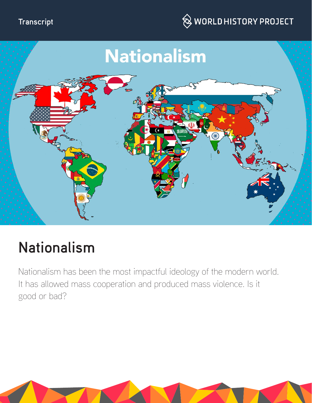



# **Nationalism**

Nationalism has been the most impactful ideology of the modern world. It has allowed mass cooperation and produced mass violence. Is it good or bad?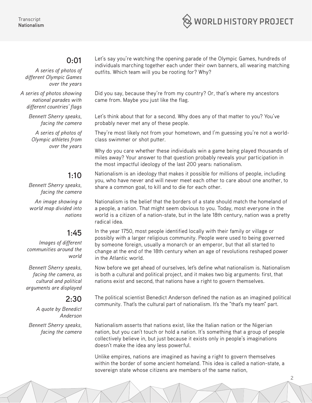

# **0:01**

*A series of photos of different Olympic Games over the years*

*A series of photos showing national parades with different countries' flags*

> *Bennett Sherry speaks, facing the camera*

*A series of photos of Olympic athletes from over the years*

#### **1:10**

*Bennett Sherry speaks, facing the camera*

*An image showing a world map divided into nations*

# **1:45**

*Images of different communities around the world* 

*Bennett Sherry speaks, facing the camera, as cultural and political arguments are displayed*

#### **2:30**

*A quote by Benedict Anderson*

*Bennett Sherry speaks, facing the camera* Let's say you're watching the opening parade of the Olympic Games, hundreds of individuals marching together each under their own banners, all wearing matching outfits. Which team will you be rooting for? Why?

Did you say, because they're from my country? Or, that's where my ancestors came from. Maybe you just like the flag.

Let's think about that for a second. Why does any of that matter to you? You've probably never met any of these people.

They're most likely not from your hometown, and I'm guessing you're not a worldclass swimmer or shot putter.

Why do you care whether these individuals win a game being played thousands of miles away? Your answer to that question probably reveals your participation in the most impactful ideology of the last 200 years: nationalism.

Nationalism is an ideology that makes it possible for millions of people, including you, who have never and will never meet each other to care about one another, to share a common goal, to kill and to die for each other.

Nationalism is the belief that the borders of a state should match the homeland of a people, a nation. That might seem obvious to you. Today, most everyone in the world is a citizen of a nation-state, but in the late 18th century, nation was a pretty radical idea.

In the year 1750, most people identified locally with their family or village or possibly with a larger religious community. People were used to being governed by someone foreign, usually a monarch or an emperor, but that all started to change at the end of the 18th century when an age of revolutions reshaped power in the Atlantic world.

Now before we get ahead of ourselves, let's define what nationalism is. Nationalism is both a cultural and political project, and it makes two big arguments: first, that nations exist and second, that nations have a right to govern themselves.

The political scientist Benedict Anderson defined the nation as an imagined political community. That's the cultural part of nationalism. It's the "that's my team" part.

Nationalism asserts that nations exist, like the Italian nation or the Nigerian nation, but you can't touch or hold a nation. It's something that a group of people collectively believe in, but just because it exists only in people's imaginations doesn't make the idea any less powerful.

Unlike empires, nations are imagined as having a right to govern themselves within the border of some ancient homeland. This idea is called a nation-state, a sovereign state whose citizens are members of the same nation,

2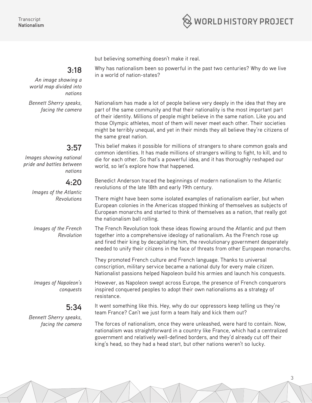but believing something doesn't make it real.

Why has nationalism been so powerful in the past two centuries? Why do we live in a world of nation-states?

Nationalism has made a lot of people believe very deeply in the idea that they are part of the same community and that their nationality is the most important part of their identity. Millions of people might believe in the same nation. Like you and those Olympic athletes, most of them will never meet each other. Their societies might be terribly unequal, and yet in their minds they all believe they're citizens of the same great nation.

**3:57**

**3:18**

*nations*

*An image showing a world map divided into* 

*Bennett Sherry speaks, facing the camera*

*Images showing national pride and battles between nations* 

# **4:20**

*Images of the Atlantic Revolutions*

*Images of the French Revolution* 

*Images of Napoleon's conquests*

# **5:34**

*Bennett Sherry speaks, facing the camera*

This belief makes it possible for millions of strangers to share common goals and common identities. It has made millions of strangers willing to fight, to kill, and to die for each other. So that's a powerful idea, and it has thoroughly reshaped our world, so let's explore how that happened.

Benedict Anderson traced the beginnings of modern nationalism to the Atlantic revolutions of the late 18th and early 19th century.

There might have been some isolated examples of nationalism earlier, but when European colonies in the Americas stopped thinking of themselves as subjects of European monarchs and started to think of themselves as a nation, that really got the nationalism ball rolling.

The French Revolution took these ideas flowing around the Atlantic and put them together into a comprehensive ideology of nationalism. As the French rose up and fired their king by decapitating him, the revolutionary government desperately needed to unify their citizens in the face of threats from other European monarchs.

They promoted French culture and French language. Thanks to universal conscription, military service became a national duty for every male citizen. Nationalist passions helped Napoleon build his armies and launch his conquests.

However, as Napoleon swept across Europe, the presence of French conquerors inspired conquered peoples to adopt their own nationalisms as a strategy of resistance.

It went something like this. Hey, why do our oppressors keep telling us they're team France? Can't we just form a team Italy and kick them out?

The forces of nationalism, once they were unleashed, were hard to contain. Now, nationalism was straightforward in a country like France, which had a centralized government and relatively well-defined borders, and they'd already cut off their king's head, so they had a head start, but other nations weren't so lucky.

3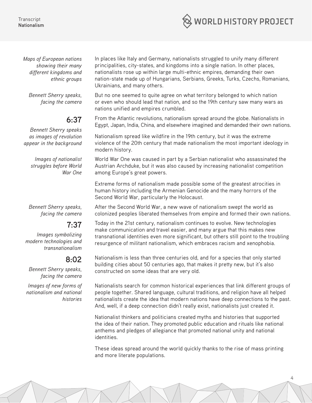**Transcript Nationalism** **WORLD HISTORY PROJECT** 

*Maps of European nations showing their many different kingdoms and ethnic groups*

*Bennett Sherry speaks, facing the camera*

# **6:37**

*Bennett Sherry speaks as images of revolution appear in the background*

> *Images of nationalist struggles before World War One*

*Bennett Sherry speaks, facing the camera*

# **7:37**

*Images symbolizing modern technologies and transnationalism*

# **8:02**

*Bennett Sherry speaks, facing the camera*

*Images of new forms of nationalism and national histories* In places like Italy and Germany, nationalists struggled to unify many different principalities, city-states, and kingdoms into a single nation. In other places, nationalists rose up within large multi-ethnic empires, demanding their own nation-state made up of Hungarians, Serbians, Greeks, Turks, Czechs, Romanians, Ukrainians, and many others.

But no one seemed to quite agree on what territory belonged to which nation or even who should lead that nation, and so the 19th century saw many wars as nations unified and empires crumbled.

From the Atlantic revolutions, nationalism spread around the globe. Nationalists in Egypt, Japan, India, China, and elsewhere imagined and demanded their own nations.

Nationalism spread like wildfire in the 19th century, but it was the extreme violence of the 20th century that made nationalism the most important ideology in modern history.

World War One was caused in part by a Serbian nationalist who assassinated the Austrian Archduke, but it was also caused by increasing nationalist competition among Europe's great powers.

Extreme forms of nationalism made possible some of the greatest atrocities in human history including the Armenian Genocide and the many horrors of the Second World War, particularly the Holocaust.

After the Second World War, a new wave of nationalism swept the world as colonized peoples liberated themselves from empire and formed their own nations.

Today in the 21st century, nationalism continues to evolve. New technologies make communication and travel easier, and many argue that this makes new transnational identities even more significant, but others still point to the troubling resurgence of militant nationalism, which embraces racism and xenophobia.

Nationalism is less than three centuries old, and for a species that only started building cities about 50 centuries ago, that makes it pretty new, but it's also constructed on some ideas that are very old.

Nationalists search for common historical experiences that link different groups of people together. Shared language, cultural traditions, and religion have all helped nationalists create the idea that modern nations have deep connections to the past. And, well, if a deep connection didn't really exist, nationalists just created it.

Nationalist thinkers and politicians created myths and histories that supported the idea of their nation. They promoted public education and rituals like national anthems and pledges of allegiance that promoted national unity and national identities.

These ideas spread around the world quickly thanks to the rise of mass printing and more literate populations.

4